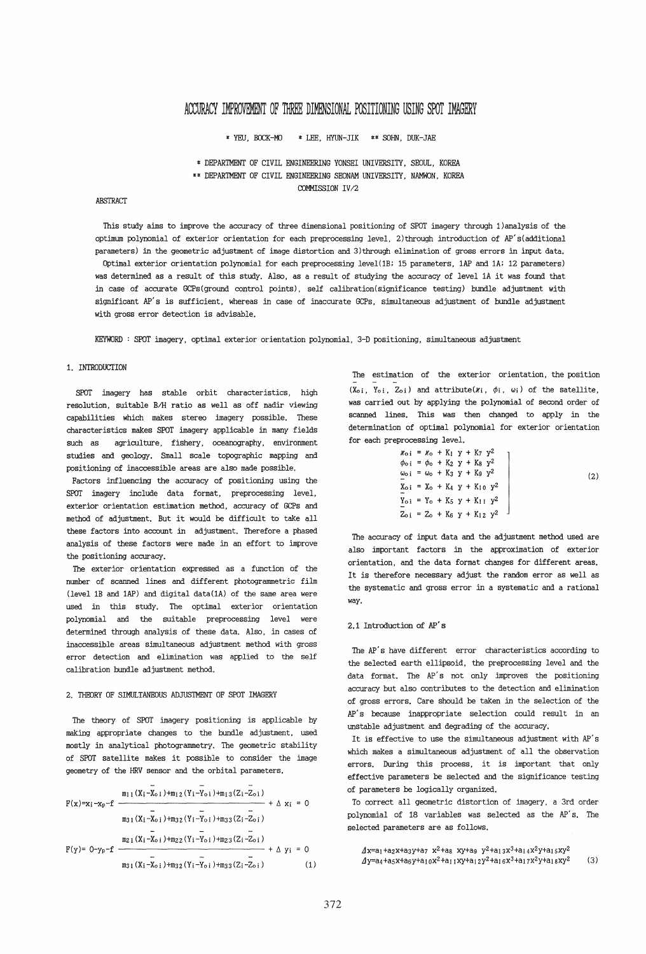# ACCURACY IMPROVEMENT OF THREE DIMENSIONAL POSITIONING USING SPOT IMAGERY

\* YEU, BOCK-MO \* LEE, HYUN-JIK \*\* SOHN, DUK-JAE

\* DEPARTMENT OF CIVIL ENGINEERING YONSEI UNIVERSITY, SEOUL, KOREA

\*\* DEPARTMENT OF CIVIL ENGINEERING SEONAM UNIVERSITY, NAMWON, KOREA

COMMISSION *IV/2* 

#### **ABSTRACT**

*This* study aims to improve the accuracy of three dimensional positioning of SPOT imagery through 1) analysis of the optimum polynomial of exterior orientation for each preprocessing level, 2)through introduction of AP's(additional parameters) in the geometric adjustment of image distortion and 3)through elimination of gross errors in input data. Optimal exterior orientation polynomial for each preprocessing level(lB; 15 parameters, lAP and lA; 12 parameters) was determined as a result of *this* study. Also, as a result of studying the accuracy of level lA *it* was found that in case of accurate GCPs(ground control points), self calibration(significance testing) bundle adjustment with significant AP's *is* sufficient, whereas in case of inaccurate GCPs, simultaneous adjustment of bundle adjustment with gross error detection *is* advisable.

KEYWORD : SPOT imagery, optimal exterior orientation polynomial, 3-D positioning, simultaneous adjustment

## 1. INTRODUCTION

SPOT imagery has stable orbit characteristics, *high*  resolution, suitable BIH ratio as well as off nadir viewing capabilities which makes stereo imagery possible. These characteristics makes SPOT imagery applicable in many fields such as agriculture, fishery, oceanography, environment studies and geology. Small scale topographic mapping and positioning of inaccessible areas are also made possible.

Factors influencing the accuracy of positioning using the SPOT imagery include data format, preprocessing level, exterior orientation estimation method, accuracy of GCPs and method of adjustment. But it would be difficult to take all these factors into account in adjustment. Therefore a phased analysis of these factors were made in an effort to improve the positioning accuracy.

The exterior orientation expressed as a function of the number of scanned lines and different photogrammetric film (level lB and lAP) and digital data(lA) of the same area were used in this study. The optimal exterior orientation polynomial and the *sui* table preprocessing level were determined through analysis of these data. Also, in cases of inaccessible areas simultaneous adjustment method with gross error detection and elimination was applied to the self calibration bundle adjustment method.

#### 2. THEORY OF SIMULTANEOUS ADJUSTMENT OF SPOT IMAGERY

The theory of SPOT imagery positioning is applicable by making appropriate changes to the bundle adjustment, used mostly in analytical photogrammetry. The geometric stability of SPOT *satellite* makes *it* possible to consider the image geometry of the HRV sensor and the orbital parameters.

$$
F(x)=x_{i}-x_{p}-f \frac{m_{11}(X_{i}-X_{0i})+m_{12}(Y_{i}-Y_{0i})+m_{13}(Z_{i}-Z_{0i})}{\frac{1}{m_{31}(X_{i}-X_{0i})+m_{32}(Y_{i}-Y_{0i})+m_{33}(Z_{i}-Z_{0i})} + \Delta x_{i} = 0
$$
  

$$
F(y)= 0-y_{p}-f \frac{m_{21}(X_{i}-X_{0i})+m_{22}(Y_{i}-Y_{0i})+m_{23}(Z_{i}-Z_{0i})}{\frac{1}{m_{31}(X_{i}-X_{0i})+m_{32}(Y_{i}-Y_{0i})+m_{33}(Z_{i}-Z_{0i})} + \Delta y_{i} = 0
$$
(1)

The estimation of the exterior orientation, the position  $(X_0; Y_0; Z_0;)$  and attribute( $\chi_i$ ,  $\phi_i$ ,  $\omega_i$ ) of the satellite, was carried out by applying the polynomial of second order of scanned lines. This was then changed to apply in the determination of optimal polynomial for exterior orientation for each preprocessing level.

$$
k_{0i} = k_{0} + K_{1} y + K_{7} y^{2}
$$
  
\n
$$
\phi_{0i} = \phi_{0} + K_{2} y + K_{8} y^{2}
$$
  
\n
$$
\omega_{0i} = \omega_{0} + K_{3} y + K_{9} y^{2}
$$
  
\n
$$
\omega_{0i} = K_{0} + K_{4} y + K_{10} y^{2}
$$
  
\n
$$
\omega_{0i} = Y_{0} + K_{4} y + K_{10} y^{2}
$$
  
\n
$$
\omega_{0i} = Y_{0} + K_{5} y + K_{11} y^{2}
$$
  
\n
$$
Z_{0i} = Z_{0} + K_{6} y + K_{12} y^{2}
$$
\n(2)

The accuracy of input data and the adjustment method used are also important factors in the approximation of exterior orientation, and the data format changes for different areas. It is therefore necessary adjust the random error as well as the systematic and gross error in a systematic and a rational way.

#### 2.1 Introduction of AP's

The AP's have different error characteristics according to the selected earth ellipsoid, the preprocessing level and the data format. The AP's not only improves the positioning accuracy but also contributes to the detection and elimination of gross errors. Care should be taken in the selection of the AP's because inappropriate selection could result in an unstable adjustment and degrading of the accuracy.

It *is* effective to use the simultaneous adjustment with AP's which makes a simultaneous adjustment of all the observation errors. During this process, *it* is important that only effective parameters be selected and the significance testing of parameters be *logically* organized.

To correct all geometric distortion of imagery, a 3rd order polynomial of 18 variables was selected as the AP's. The selected parameters are as follows.

 $A$ x=a<sub>1</sub>+a<sub>2</sub>x+a<sub>3</sub>y+a7 x<sup>2</sup>+a<sub>8</sub> xy+a9 y<sup>2</sup>+a<sub>13</sub>x<sup>3</sup>+a<sub>14</sub>x<sup>2</sup>y+a<sub>15</sub>xy<sup>2</sup>  $\Delta y = a_4 + a_5x + a_6y + a_{10}x^2 + a_{11}xy + a_{12}y^2 + a_{16}x^3 + a_{17}x^2y + a_{18}xy^2$  (3)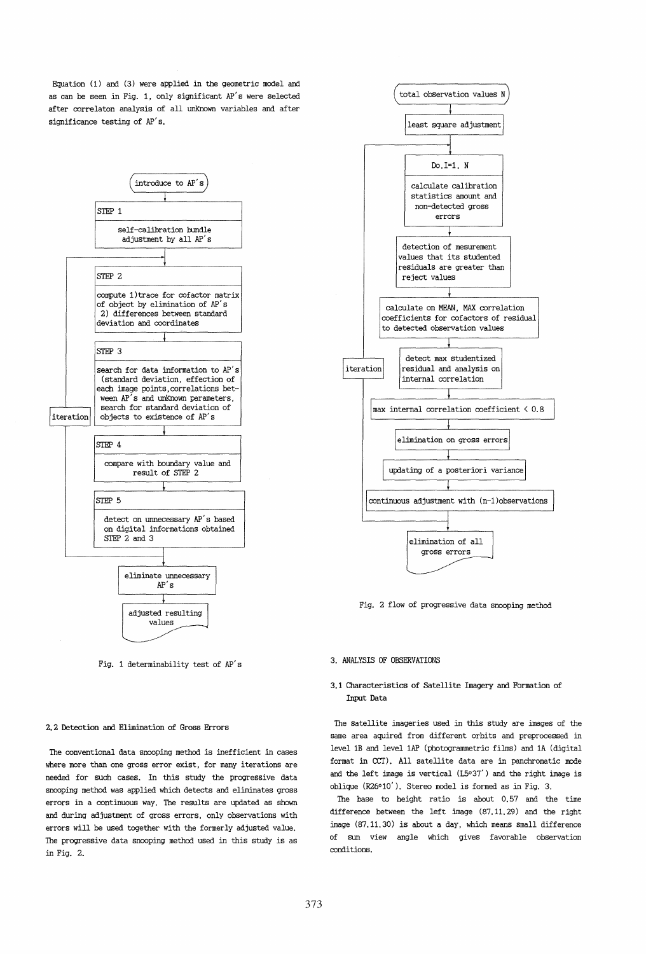Equation (1) and (3) were applied in the geometric model and as can be seen in Fig. 1, only significant AP's were selected after correlaton analysis of all unknown variables and after significance testing of AP's.



Fig. 1 determinability test of AP's

#### 2.2 Detection and Elimination of Gross Errors

The conventional data snooping method is inefficient in cases where more than one gross error exist, for many iterations are needed for such cases. In this study the progressive data snooping method was applied which detects and eliminates gross errors in a continuous way. The results are updated as shown and during adjustment of gross errors, only observations with errors will be used together with the formerly adjusted value. The progressive data snooping method used in this study is as in Fig. 2.



Fig. 2 flow of progressive data snooping method

#### 3. ANALYSIS OF OBSERVATIONS

## 3.1 Characteristics of Satellite Imagery and Formation of Input Data

The satellite imageries used in this study are images of the same area aquired from different orbits and preprocessed in level IB and level lAP (photogrammetric films) and lA (digital format in ccr). All satellite data are in panchromatic mode and the left image is vertical (L5°37') and the right image is oblique (R26°10'). Stereo model is formed as in Fig. 3.

The base to height ratio is about 0.57 and the time difference between the left image (87.11. 29) and the right image (87.11.30) is about a day, which means small difference of sun view angle which gives favorable observation conditions.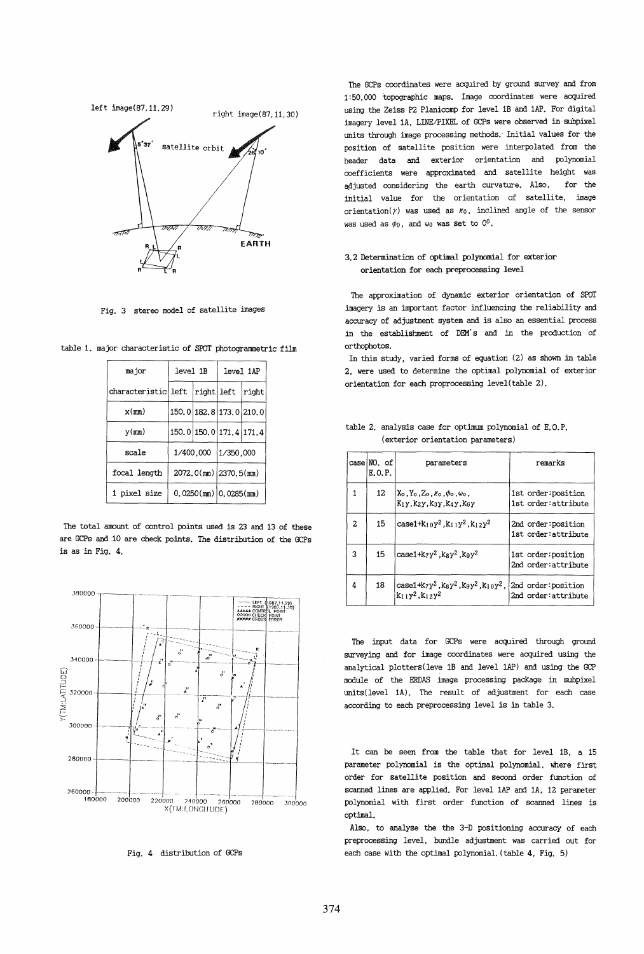

Fig. 3 stereo model of satellite images

| major               | level 1B                |                         | level 1AP               |       |  |
|---------------------|-------------------------|-------------------------|-------------------------|-------|--|
| characteristic left |                         |                         | right left              | right |  |
| $x$ (mm)            |                         | 150.0 182.8 173.0 210.0 |                         |       |  |
| y(mn)               | 150.0 150.0 171.4 171.4 |                         |                         |       |  |
| scale               |                         | 1/400,000               | 1/350,000               |       |  |
| focal length        |                         |                         | 2072.0(mm) 2370.5(mm)   |       |  |
| 1 pixel size        |                         |                         | $0.0250(mm)$ 0.0285(mm) |       |  |

table 1. major characteristic of SPOT photogrammetric film

The total amount of control points used is 23 and 13 pf these are GCPs and 10 are check points. The distribution of the GCPs is as in Fig. 4.



Fig. 4 distribution of GCPs

The GCPs coordinates were acquired by ground survey and from 1:50,000 topographic maps. Image coordinates were acquired using the Zeiss P2 Planicomp for level lB and lAP. For digital imagery level 1A, LINE/PIXEL of GCPs were observed in subpixel units through image processing methods.' Initial values for the position of satellite position were interpolated from the header data and exterior orientation and polynomial coefficients were approximated and satellite height waS adjusted considering the earth curvature. Also, for the initial value for the orientation of satellite, image orientation( $\gamma$ ) was used as  $x_0$ , inclined angle of the sensor was used as  $\phi_0$ , and  $\omega_0$  was set to  $0^0$ .

# 3.2 Determination of optimal polynomial for exterior orientation for each preprocessing level

The approximation of dynamic exterior orientation of SPOT imagery *is* an important factor influencing the reliability and accuracy of adjustment system and *is* also an essential process in the establishment of DEM's and in the production of orthophotos.

In this study, varied forms of equation (2) as shown in table 2, were used to determine the optimal polynomial of exterior orientation for each proprocessing level(table 2).

|   | $case$ $NO.$ of<br>E.O.P. | parameters                                                                            | remarks                                     |
|---|---------------------------|---------------------------------------------------------------------------------------|---------------------------------------------|
| 1 | 12                        | $X_0, Y_0, Z_0, \kappa_0, \phi_0, \omega_0$<br>K1y. K2y. K3y. K4y. K6y                | 1st order: position<br>1st order: attribute |
| 2 | 15                        | $case1+k_1$ $y^2$ , $k_1$ $y^2$ , $k_1$ $2y^2$                                        | 2nd order: position<br>1st order: attribute |
| 3 | 15                        | $case1+k_7y^2$ . $k_8y^2$ . $k_9y^2$                                                  | 1st order: position<br>2nd order: attribute |
| 4 | 18                        | $case1+k_7y^2$ , $k_8y^2$ , $k_9y^2$ , $k_{10}y^2$ ,<br>$K_1$ 1 $y^2$ , $K_1$ 2 $y^2$ | 2nd order: position<br>2nd order: attribute |

|                                   |  | table 2. analysis case for optimum polynomial of E.O.P. |  |
|-----------------------------------|--|---------------------------------------------------------|--|
| (exterior orientation parameters) |  |                                                         |  |

The input data for GCPs were acquired through ground surveying and for image coordinates were acquired using the analytical plotters(leve lB and level lAP) and using the GCP module of the ERDAS image processing paCKage in subpixel units(level 1A). The result of adjustment for each case according to each preprocessing level is in table 3.

It can be seen from the table that for level lB, a 15 parameter polynomial *is* the optimal polynomial, where first order for satellite position and second order function of scanned lines are applied. For level lAP and lA, 12 parameter polynomial with first order function of scanned lines is optimal.

Also, to analyse the the 3-D positioning accuracy of each preprocessing level, bundle adjustment was carried out for each case with the optimal polynomial. (table 4, Fig. 5)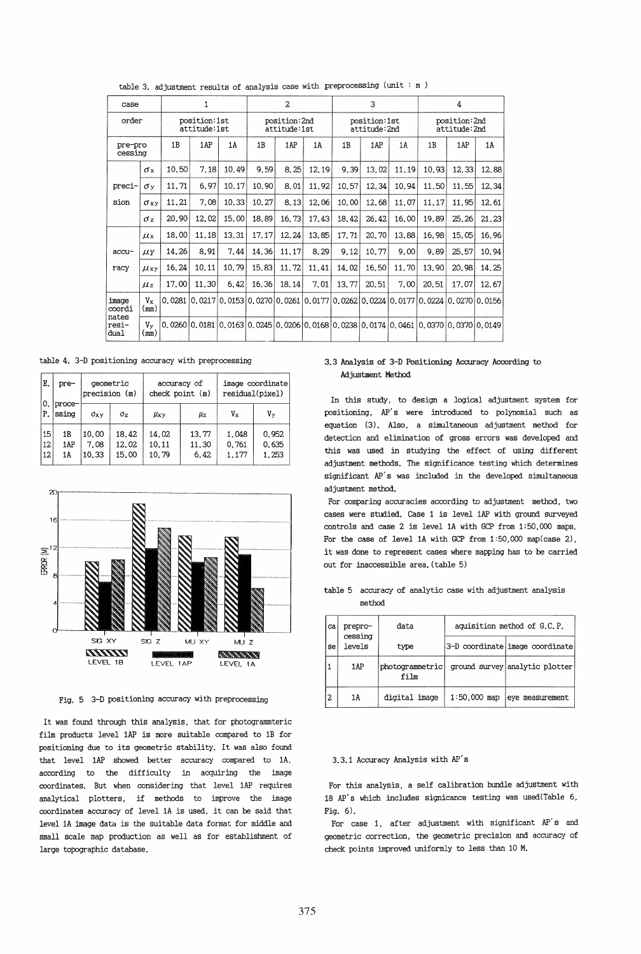| $\mathbf{1}$<br>case     |                                       |        | $\overline{2}$ |                              |       | 3     |                              |       | 4     |                              |                                                                                       |       |       |
|--------------------------|---------------------------------------|--------|----------------|------------------------------|-------|-------|------------------------------|-------|-------|------------------------------|---------------------------------------------------------------------------------------|-------|-------|
|                          | order<br>position:1st<br>attitude:1st |        |                | position:2nd<br>attitude:1st |       |       | position:1st<br>attitude:2nd |       |       | position:2nd<br>attitude:2nd |                                                                                       |       |       |
| pre-pro<br>cessing       |                                       | 1B     | 1AP            | 1 A                          | 1B    | 1AP   | 1A                           | 1B    | 1AP   | 1A                           | 1 <sub>B</sub>                                                                        | 1AP   | 1A    |
|                          | σx                                    | 10.50  | 7.18           | 10.49                        | 9.59  | 8.25  | 12.19                        | 9.39  | 13.02 | 11.19                        | 10.93                                                                                 | 12.33 | 12.88 |
| preci-                   | σy                                    | 11.71  | 6.97           | 10.17                        | 10.90 | 8.01  | 11.92                        | 10.57 | 12.34 | 10.94                        | 11.50                                                                                 | 11.55 | 12.34 |
| sion                     | σxν                                   | 11.21  | 7.08           | 10.33                        | 10.27 | 8.13  | 12.06                        | 10.00 | 12.68 | 11.07                        | 11.17                                                                                 | 11.95 | 12.61 |
|                          | $\sigma_z$                            | 20,90  | 12.02          | 15.00                        | 18.89 | 16.73 | 17.43                        | 18.42 | 26.42 | 16.00                        | 19.89                                                                                 | 25.26 | 21.23 |
|                          | $\mu$ x                               | 18.00  | 11.18          | 13.31                        | 17.17 | 12.24 | 13.85                        | 17.71 | 20.70 | 13.88                        | 16.98                                                                                 | 15.05 | 16.96 |
| accu-                    | $\mu$ y                               | 14.26  | 8.91           | 7.44                         | 14.36 | 11.17 | 8.29                         | 9.12  | 10.77 | 9.00                         | 9.89                                                                                  | 25.57 | 10.94 |
| racy                     | $\mu_{xy}$                            | 16.24  | 10.11          | 10.79                        | 15.83 | 11,72 | 11.41                        | 14.02 | 16,50 | 11.70                        | 13.90                                                                                 | 20.98 | 14.25 |
|                          | $\mu$ <sub>z</sub>                    | 17.00  | 11.30          | 6.42                         | 16.36 | 18.14 | 7.01                         | 13.77 | 20.51 | 7.00                         | 20.51                                                                                 | 17.07 | 12.67 |
| image<br>coordi<br>nates | Vx<br>(mm)                            | 0.0281 |                |                              |       |       |                              |       |       |                              | $ 0.0217 0.0153 0.0270 0.0261 0.0177 0.0262 0.0224 0.0177 0.0224 0.0270 0.0156 $      |       |       |
| resi-<br>dual            | Vy<br>(mm)                            |        |                |                              |       |       |                              |       |       |                              | $0.0260 0.0181 0.0163 0.0245 0.0206 0.0168 0.0238 0.0174 0.0461 0.0370 0.0370 0.0149$ |       |       |

table 3. adjustment results of analysis case with preprocessing (unit :  $m$  )

table 4. 3-D positioning accuracy with preprocessing

| Ε.<br>0. | pre-            | precision (m) | geometric  | check point (m) | accuracy of | image coordinate<br>residual(pixel) |       |  |
|----------|-----------------|---------------|------------|-----------------|-------------|-------------------------------------|-------|--|
| P.       | proce-<br>ssing |               |            |                 |             | $V_{X}$                             | Vv    |  |
|          |                 | $\sigma_{xy}$ | $\sigma_z$ | $\mu_{\rm XY}$  | μz          |                                     |       |  |
| 15       | 1B              | 10.00         | 18.42      | 14.02           | 13.77       | 1.048                               | 0.952 |  |
| 12       | 1AP             | 7.08          | 12.02      | 10.11           | 11.30       | 0.761                               | 0.635 |  |
| 12       | 1 A             | 10.33         | 15.00      | 10.79           | 6.42        | 1.177                               | 1.253 |  |



Fig. 5 3-D positioning accuracy with preprocessing

It was found through this analysis, that for photogrammteric film products level lAP is more suitable compared to lB for positioning due to its geometric stability. It was also found that level lAP showed better accuracy compared to lA, according to the difficulty in acquiring the image coordinates. But when considering that level lAP requires analytical plotters, if methods to improve the image coordinates accuracy of level lA is used, it can be said that level lA image data is the suitable data format for middle and small scale map production as well as for establishment of large topographic database.

## 3.3 Analysis of 3-D Positioning Accuracy According to Adjustment Method

In this study, to design a logical adjustment system for positioning, AP's were introduced to polynomial such as equation (3). Also, a simultaneous adjustment method for detection and elimination of gross errors was developed and this was used in studying the effect of using different adjustment methods. The significance testing which determines significant AP's was included in the developed simultaneous adjustment method.

For comparing accuracies according to adjustment method, two cases were studied. Case 1 is level lAP with ground surveyed controls and case 2 is level lA with GCP from 1:50,000 maps. For the case of level lA with GCP from 1:50,000 map(case 2), *it* was done to represent cases where mapping has to be carried out for inaccessible area. (table 5)

table 5 accuracy of analytic case with adjustment analysis method

| ca | prepro-<br>cessing | data                    | aquisition method of G.C.P. |                                 |  |  |  |
|----|--------------------|-------------------------|-----------------------------|---------------------------------|--|--|--|
| se | levels             | type                    |                             | 3-D coordinate image coordinate |  |  |  |
|    | 1AP                | photogrammetric<br>film |                             | ground survey analytic plotter  |  |  |  |
| l2 | 1A                 | digital image           | $1:50,000$ map              | eye measurement                 |  |  |  |

## 3.3.1 Accuracy Analysis with AP's

For this analysis, a self calibration bundle adjustment with 18 AP's which includes signicance testing was used(Table 6, Fig. 6).

For case 1, after adjustment with significant AP's and geometric correction, the geometric precision and accuracy of check points improved uniformly to less than 10 M.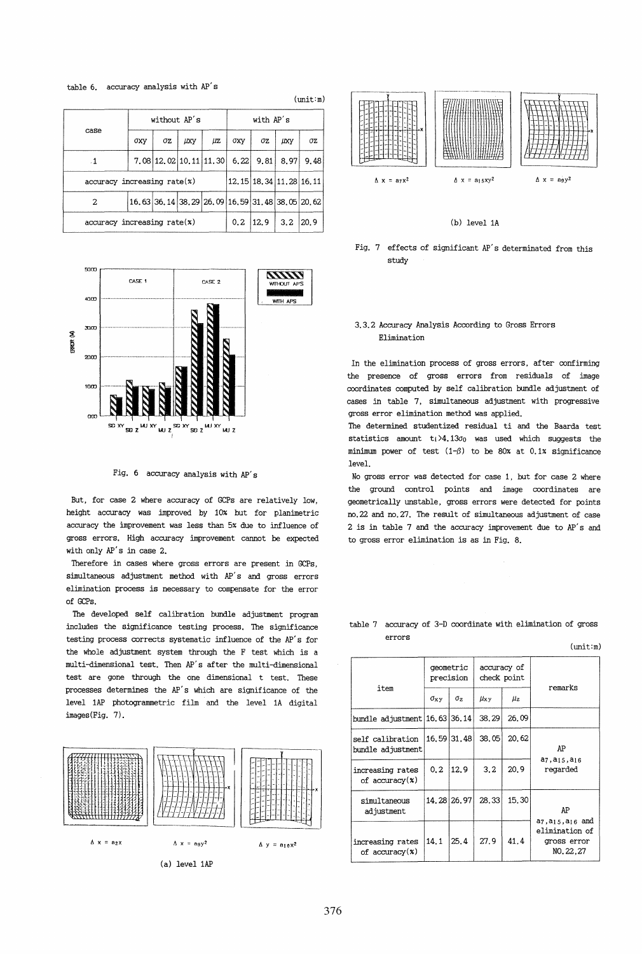table 6. accuracy analysis with AP's

|                                                             |     | without AP's                |             |       | with AP's |      |             |      |
|-------------------------------------------------------------|-----|-----------------------------|-------------|-------|-----------|------|-------------|------|
| case                                                        | бху | σz                          | <b>LIXY</b> | μz    | ОХУ       | σz   | <b>LIXY</b> | σz   |
| $\cdot$ 1                                                   |     | 7.08 12.02 10.11 11.30      |             |       | 6,22      | 9.81 | 8.97        | 9.48 |
| $accuracy$ increasing $rate(x)$                             |     | 12, 15 18, 34 11, 28 16, 11 |             |       |           |      |             |      |
| 16.63 36, 14 38, 29 26, 09 16, 59 31, 48 38, 05 20, 62<br>2 |     |                             |             |       |           |      |             |      |
| $accuracy$ increasing $rate(x)$                             | 0.2 | 12.9                        | 3.2         | 20, 9 |           |      |             |      |

 $(mit:m)$ 



Fig. 6 accuracy analysis with AP's

But, for case 2 where accuracy of GCPs are relatively low. height accuracy was improved by 10% but for planimetric accuracy the improvement was less than 5% due to influence of gross errors. High accuracy improvement cannot be expected with only AP's in case 2.

Therefore in cases where gross errors are present in GCPs, simultaneous adjustment method with AP's and gross errors elimination process is necessary to compensate for the error of GCPs.

The developed self calibration bundle adjustment program includes the significance testing process. The significance testing process corrects systematic influence of the AP's for the whole adjustment system through the F test which is a multi-dimensional test. Then AP's after the multi-dimensional test are gone through the one dimensional t test. These processes determines the AP's which are significance of the level 1AP photogrammetric film and the level 1A digital images(Fig. 7).



(a) level 1AP



(b) level 1A

Fig. 7 effects of significant AP's determinated from this study

# 3.3.2 Accuracy Analysis According to Gross Errors Elimination

In the elimination process of gross errors, after confirming the presence of gross errors from residuals of image coordinates computed by self calibration bundle adjustment of cases in table 7, simultaneous adjustment with progressive gross error elimination method was applied.

The determined studentized residual ti and the Baarda test statistics amount  $t_i > 4.13\sigma_0$  was used which suggests the minimum power of test  $(1-\beta)$  to be 80% at 0.1% significance level.

No gross error was detected for case 1, but for case 2 where the ground control points and image coordinates are geometrically unstable, gross errors were detected for points no. 22 and no. 27. The result of simultaneous adjustment of case 2 is in table 7 and the accuracy improvement due to AP's and to gross error elimination is as in Fig. 8.

#### table 7 accuracy of 3-D coordinate with elimination of gross errors

 $(mit:m)$ 

|                                       | qeometric<br>precision |                       | accuracy of<br>check point |       |                                                                                          |  |
|---------------------------------------|------------------------|-----------------------|----------------------------|-------|------------------------------------------------------------------------------------------|--|
| item                                  | $\sigma_{xy}$          | $\sigma$ <sub>2</sub> | $\mu_{xy}$                 | Цz    | remarks                                                                                  |  |
| bundle adjustment   16.63   36.14     |                        |                       | 38.29                      | 26.09 |                                                                                          |  |
| self calibration<br>bundle adjustment |                        | 16.59 31.48           | 38.05                      | 20.62 | AP                                                                                       |  |
| increasing rates<br>of $accuracy(x)$  | 0, 2                   | 12.9                  | 3.2                        | 20.9  | a7, a <sub>15</sub> , a <sub>16</sub><br>regarded                                        |  |
| simultaneous<br>adjustment            |                        | 14, 28 26, 97         | 28.33                      | 15.30 | AP                                                                                       |  |
| increasing rates<br>of $accuracy(x)$  | 14.1                   | 25.4                  | 27.9                       | 41.4  | a7, a <sub>15</sub> , a <sub>16</sub> and<br>elimination of<br>gross error<br>NO. 22, 27 |  |